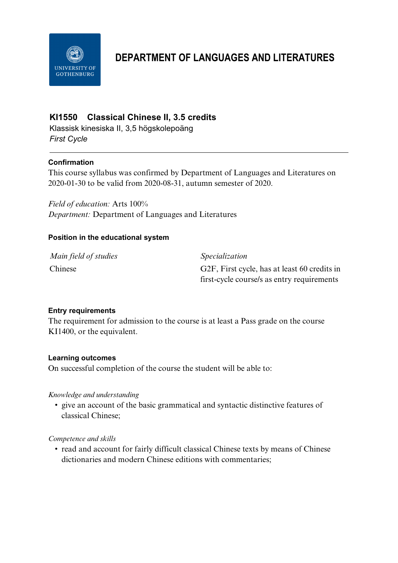

# **DEPARTMENT OF LANGUAGES AND LITERATURES**

## **KI1550 Classical Chinese II, 3.5 credits**

Klassisk kinesiska II, 3,5 högskolepoäng *First Cycle*

## **Confirmation**

This course syllabus was confirmed by Department of Languages and Literatures on 2020-01-30 to be valid from 2020-08-31, autumn semester of 2020.

*Field of education:* Arts 100% *Department:* Department of Languages and Literatures

## **Position in the educational system**

| Main field of studies | <i>Specialization</i>                        |
|-----------------------|----------------------------------------------|
| Chinese               | G2F, First cycle, has at least 60 credits in |
|                       | first-cycle course/s as entry requirements   |

#### **Entry requirements**

The requirement for admission to the course is at least a Pass grade on the course KI1400, or the equivalent.

#### **Learning outcomes**

On successful completion of the course the student will be able to:

#### *Knowledge and understanding*

• give an account of the basic grammatical and syntactic distinctive features of classical Chinese;

#### *Competence and skills*

• read and account for fairly difficult classical Chinese texts by means of Chinese dictionaries and modern Chinese editions with commentaries;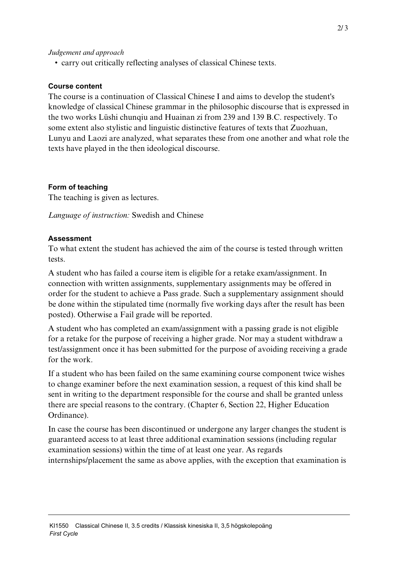#### *Judgement and approach*

• carry out critically reflecting analyses of classical Chinese texts.

#### **Course content**

The course is a continuation of Classical Chinese I and aims to develop the student's knowledge of classical Chinese grammar in the philosophic discourse that is expressed in the two works Lüshi chunqiu and Huainan zi from 239 and 139 B.C. respectively. To some extent also stylistic and linguistic distinctive features of texts that Zuozhuan, Lunyu and Laozi are analyzed, what separates these from one another and what role the texts have played in the then ideological discourse.

#### **Form of teaching**

The teaching is given as lectures.

*Language of instruction:* Swedish and Chinese

#### **Assessment**

To what extent the student has achieved the aim of the course is tested through written tests.

A student who has failed a course item is eligible for a retake exam/assignment. In connection with written assignments, supplementary assignments may be offered in order for the student to achieve a Pass grade. Such a supplementary assignment should be done within the stipulated time (normally five working days after the result has been posted). Otherwise a Fail grade will be reported.

A student who has completed an exam/assignment with a passing grade is not eligible for a retake for the purpose of receiving a higher grade. Nor may a student withdraw a test/assignment once it has been submitted for the purpose of avoiding receiving a grade for the work.

If a student who has been failed on the same examining course component twice wishes to change examiner before the next examination session, a request of this kind shall be sent in writing to the department responsible for the course and shall be granted unless there are special reasons to the contrary. (Chapter 6, Section 22, Higher Education Ordinance).

In case the course has been discontinued or undergone any larger changes the student is guaranteed access to at least three additional examination sessions (including regular examination sessions) within the time of at least one year. As regards internships/placement the same as above applies, with the exception that examination is